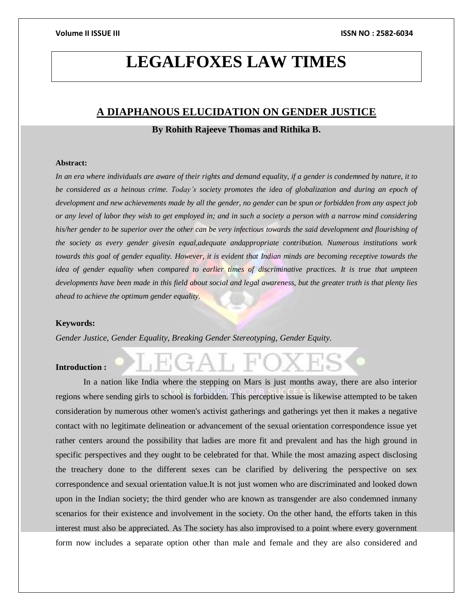## **LEGALFOXES LAW TIMES**

### **A DIAPHANOUS ELUCIDATION ON GENDER JUSTICE**

**By Rohith Rajeeve Thomas and Rithika B.**

#### **Abstract:**

In an era where individuals are aware of their rights and demand equality, if a gender is condemned by nature, it to be considered as a heinous crime. Today's society promotes the idea of globalization and during an epoch of development and new achievements made by all the gender, no gender can be spun or forbidden from any aspect job or any level of labor they wish to get employed in; and in such a society a person with a narrow mind considering his/her gender to be superior over the other can be very infectious towards the said development and flourishing of *the society as every gender givesin equal,adequate andappropriate contribution. Numerous institutions work* towards this goal of gender equality. However, it is evident that Indian minds are becoming receptive towards the idea of gender equality when compared to earlier times of discriminative practices. It is true that umpteen developments have been made in this field about social and legal awareness, but the greater truth is that plenty lies *ahead to achieve the optimum gender equality.*

#### **Keywords:**

*Gender Justice, Gender Equality, Breaking Gender Stereotyping, Gender Equity.*

#### **Introduction :**

In a nation like India where the stepping on Mars is just months away, there are also interior regions where sending girls to school is forbidden. This perceptive issue is likewise attempted to be taken consideration by numerous other women's activist gatherings and gatherings yet then it makes a negative contact with no legitimate delineation or advancement of the sexual orientation correspondence issue yet rather centers around the possibility that ladies are more fit and prevalent and has the high ground in specific perspectives and they ought to be celebrated for that. While the most amazing aspect disclosing the treachery done to the different sexes can be clarified by delivering the perspective on sex correspondence and sexual orientation value.It is not just women who are discriminated and looked down upon in the Indian society; the third gender who are known as transgender are also condemned inmany scenarios for their existence and involvement in the society. On the other hand, the efforts taken in this interest must also be appreciated. As The society has also improvised to a point where every government form now includes a separate option other than male and female and they are also considered and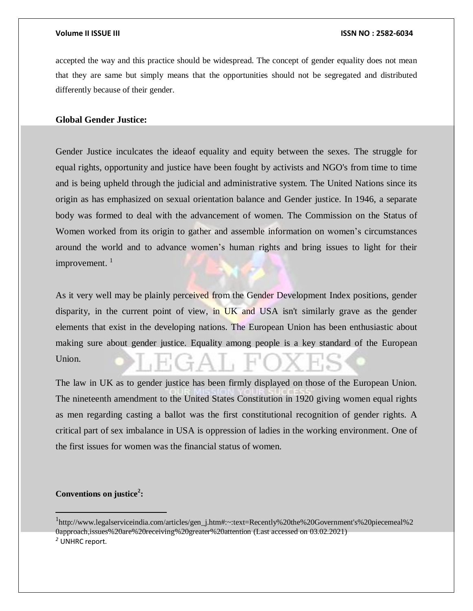accepted the way and this practice should be widespread. The concept of gender equality does not mean that they are same but simply means that the opportunities should not be segregated and distributed differently because of their gender.

### **Global Gender Justice:**

Gender Justice inculcates the ideaof equality and equity between the sexes. The struggle for equal rights, opportunity and justice have been fought by activists and NGO's from time to time and is being upheld through the judicial and administrative system. The United Nations since its origin as has emphasized on sexual orientation balance and Gender justice. In 1946, a separate body was formed to deal with the advancement of women. The Commission on the Status of Women worked from its origin to gather and assemble information on women's circumstances around the world and to advance women's human rights and bring issues to light for their improvement.  $1$ 

As it very well may be plainly perceived from the Gender Development Index positions, gender disparity, in the current point of view, in UK and USA isn't similarly grave as the gender elements that exist in the developing nations. The European Union has been enthusiastic about making sure about gender justice. Equality among people is a key standard of the European Union.

The law in UK as to gender justice has been firmly displayed on those of the European Union. The nineteenth amendment to the United States Constitution in 1920 giving women equal rights as men regarding casting a ballot was the first constitutional recognition of gender rights. A critical part of sex imbalance in USA is oppression of ladies in the working environment. One of the first issues for women was the financial status of women.

### **Conventions on justice<sup>2</sup> :**

 $\overline{a}$ 

<sup>1</sup> http://www.legalserviceindia.com/articles/gen\_j.htm#:~:text=Recently%20the%20Government's%20piecemeal%2 0approach,issues%20are%20receiving%20greater%20attention (Last accessed on 03.02.2021) *<sup>2</sup>* UNHRC report.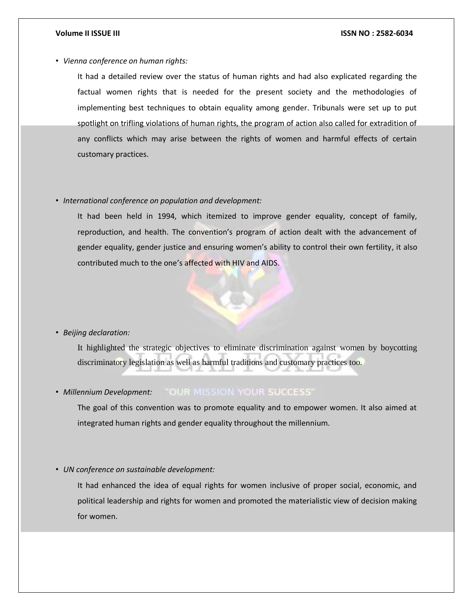*• Vienna conference on human rights:*

It had a detailed review over the status of human rights and had also explicated regarding the factual women rights that is needed for the present society and the methodologies of implementing best techniques to obtain equality among gender. Tribunals were set up to put spotlight on trifling violations of human rights, the program of action also called for extradition of any conflicts which may arise between the rights of women and harmful effects of certain customary practices.

#### *• International conference on population and development:*

It had been held in 1994, which itemized to improve gender equality, concept of family, reproduction, and health. The convention's program of action dealt with the advancement of gender equality, gender justice and ensuring women's ability to control their own fertility, it also contributed much to the one's affected with HIV and AIDS.

### *• Beijing declaration:*

It highlighted the strategic objectives to eliminate discrimination against women by boycotting discriminatory legislation as well as harmful traditions and customary practices too.

### *• Millennium Development:*

The goal of this convention was to promote equality and to empower women. It also aimed at integrated human rights and gender equality throughout the millennium.

*• UN conference on sustainable development:*

It had enhanced the idea of equal rights for women inclusive of proper social, economic, and political leadership and rights for women and promoted the materialistic view of decision making for women.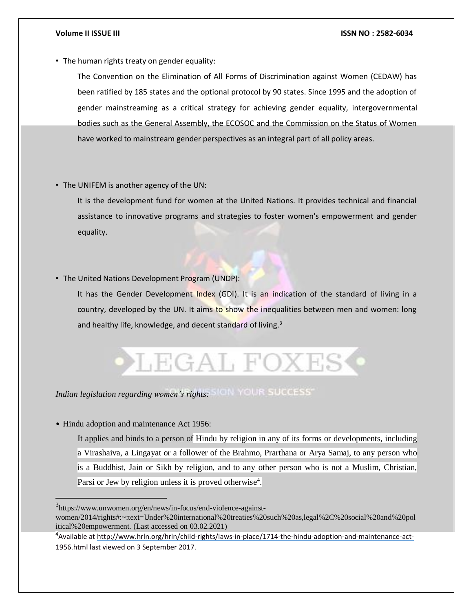• The human rights treaty on gender equality:

The Convention on the Elimination of All Forms of Discrimination against Women (CEDAW) has been ratified by 185 states and the optional protocol by 90 states. Since 1995 and the adoption of gender mainstreaming as a critical strategy for achieving gender equality, intergovernmental bodies such as the General Assembly, the ECOSOC and the Commission on the Status of Women have worked to mainstream gender perspectives as an integral part of all policy areas.

• The UNIFEM is another agency of the UN:

It is the development fund for women at the United Nations. It provides technical and financial assistance to innovative programs and strategies to foster women's empowerment and gender equality.

• The United Nations Development Program (UNDP):

It has the Gender Development Index (GDI). It is an indication of the standard of living in a country, developed by the UN. It aims to show the inequalities between men and women: long and healthy life, knowledge, and decent standard of living.<sup>3</sup>

# LEGAL FOXES

### *Indian legislation regarding women's rights:*

• Hindu adoption and maintenance Act 1956:

 $\overline{a}$ 

It applies and binds to a person of Hindu by religion in any of its forms or developments, including a Virashaiva, a Lingayat or a follower of the Brahmo, Prarthana or Arya Samaj, to any person who is a Buddhist, Jain or Sikh by religion, and to any other person who is not a Muslim, Christian, Parsi or Jew by religion unless it is proved otherwise<sup>4</sup>.

<sup>3</sup> https://www.unwomen.org/en/news/in-focus/end-violence-against-

women/2014/rights#:~:text=Under%20international%20treaties%20such%20as,legal%2C%20social%20and%20pol itical%20empowerment. (Last accessed on 03.02.2021)

<sup>4</sup>Available a[t http://www.hrln.org/hrln/child-rights/laws-in-place/1714-the-hindu-adoption-and-maintenance-act-](http://www.hrln.org/hrln/child-rights/laws-in-place/1714-the-hindu-adoption-and-maintenance-act-1956.html)[1956.html](http://www.hrln.org/hrln/child-rights/laws-in-place/1714-the-hindu-adoption-and-maintenance-act-1956.html) last viewed on 3 September 2017.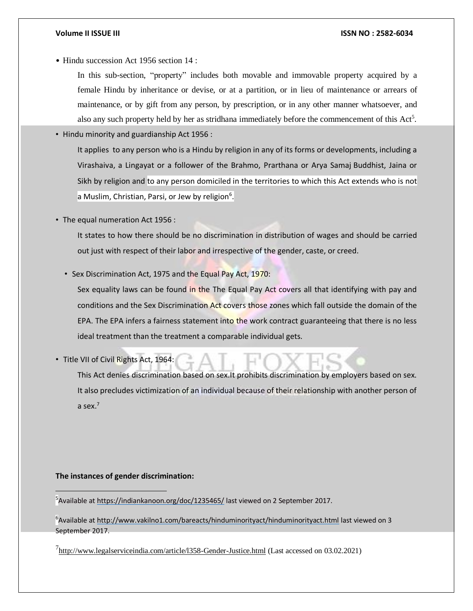• Hindu succession Act 1956 section 14 :

In this sub-section, "property" includes both movable and immovable property acquired by a female Hindu by inheritance or devise, or at a partition, or in lieu of maintenance or arrears of maintenance, or by gift from any person, by prescription, or in any other manner whatsoever, and also any such property held by her as stridhana immediately before the commencement of this Act<sup>5</sup>.

• Hindu minority and guardianship Act 1956 :

It applies to any person who is a Hindu by religion in any of its forms or developments, including a Virashaiva, a Lingayat or a follower of the Brahmo, Prarthana or Arya Samaj Buddhist, Jaina or Sikh by religion and to any person domiciled in the territories to which this Act extends who is not a Muslim, Christian, Parsi, or Jew by religion<sup>6</sup>.

• The equal numeration Act 1956 :

It states to how there should be no discrimination in distribution of wages and should be carried out just with respect of their labor and irrespective of the gender, caste, or creed.

• Sex Discrimination Act, 1975 and the Equal Pay Act, 1970:

Sex equality laws can be found in the The Equal Pay Act covers all that identifying with pay and conditions and the Sex Discrimination Act covers those zones which fall outside the domain of the EPA. The EPA infers a fairness statement into the work contract guaranteeing that there is no less ideal treatment than the treatment a comparable individual gets.

• Title VII of Civil Rights Act, 1964:

This Act denies discrimination based on sex.It prohibits discrimination by employers based on sex. It also precludes victimization of an individual because of their relationship with another person of a sex. $<sup>7</sup>$ </sup>

#### **The instances of gender discrimination:**

 $\overline{a}$ 

<sup>5</sup> Available a[t https://indiankanoon.org/doc/1235465/](https://indiankanoon.org/doc/1235465/) last viewed on 2 September 2017.

<sup>6</sup>Available a[t http://www.vakilno1.com/bareacts/hinduminorityact/hinduminorityact.html](http://www.vakilno1.com/bareacts/hinduminorityact/hinduminorityact.html) last viewed on 3 September 2017.

<sup>7</sup>http://www.legalserviceindia.com/article/1358-Gender-Justice.html (Last accessed on 03.02.2021)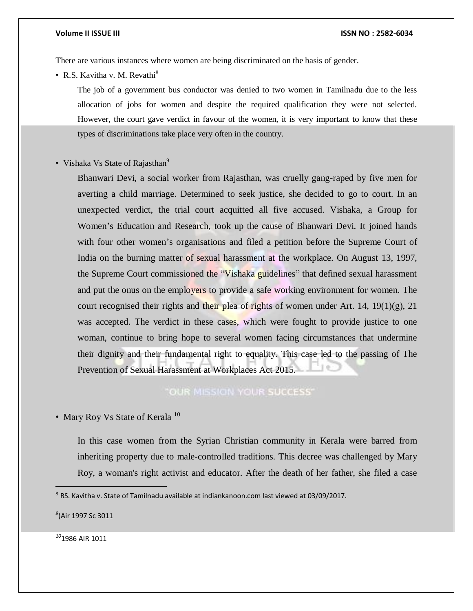There are various instances where women are being discriminated on the basis of gender.

• R.S. Kavitha v. M. Revathi<sup>8</sup>

The job of a government bus conductor was denied to two women in Tamilnadu due to the less allocation of jobs for women and despite the required qualification they were not selected. However, the court gave verdict in favour of the women, it is very important to know that these types of discriminations take place very often in the country.

• Vishaka Vs State of Rajasthan<sup>9</sup>

Bhanwari Devi, a social worker from Rajasthan, was cruelly gang-raped by five men for averting a child marriage. Determined to seek justice, she decided to go to court. In an unexpected verdict, the trial court acquitted all five accused. Vishaka, a Group for Women's Education and Research, took up the cause of Bhanwari Devi. It joined hands with four other women's organisations and filed a petition before the Supreme Court of India on the burning matter of sexual harassment at the workplace. On August 13, 1997, the Supreme Court commissioned the "Vishaka guidelines" that defined sexual harassment and put the onus on the employers to provide a safe working environment for women. The court recognised their rights and their plea of rights of women under Art. 14, 19(1)(g), 21 was accepted. The verdict in these cases, which were fought to provide justice to one woman, continue to bring hope to several women facing circumstances that undermine their dignity and their fundamental right to equality. This case led to the passing of The Prevention of Sexual Harassment at Workplaces Act 2015.

### "OUR MISSION YOUR SUCCESS"

• Mary Roy Vs State of Kerala<sup>10</sup>

In this case women from the Syrian Christian community in Kerala were barred from inheriting property due to male-controlled traditions. This decree was challenged by Mary Roy, a woman's right activist and educator. After the death of her father, she filed a case

*9* (Air 1997 Sc 3011

 $\overline{a}$ 

*<sup>10</sup>*1986 AIR 1011

<sup>&</sup>lt;sup>8</sup> RS. Kavitha v. State of Tamilnadu available at indiankanoon.com last viewed at 03/09/2017.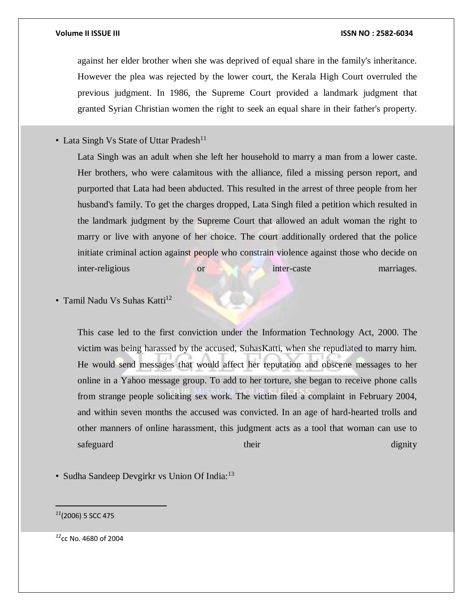against her elder brother when she was deprived of equal share in the family's inheritance. However the plea was rejected by the lower court, the Kerala High Court overruled the previous judgment. In 1986, the Supreme Court provided a landmark judgment that granted Syrian Christian women the right to seek an equal share in their father's property.

• Lata Singh Vs State of Uttar Pradesh<sup>11</sup>

Lata Singh was an adult when she left her household to marry a man from a lower caste. Her brothers, who were calamitous with the alliance, filed a missing person report, and purported that Lata had been abducted. This resulted in the arrest of three people from her husband's family. To get the charges dropped, Lata Singh filed a petition which resulted in the landmark judgment by the Supreme Court that allowed an adult woman the right to marry or live with anyone of her choice. The court additionally ordered that the police initiate criminal action against people who constrain violence against those who decide on inter-religious or inter-caste marriages.

• Tamil Nadu Vs Suhas Katti<sup>12</sup>

This case led to the first conviction under the Information Technology Act, 2000. The victim was being harassed by the accused, SuhasKatti, when she repudiated to marry him. He would send messages that would affect her reputation and obscene messages to her online in a Yahoo message group. To add to her torture, she began to receive phone calls from strange people soliciting sex work. The victim filed a complaint in February 2004, and within seven months the accused was convicted. In an age of hard-hearted trolls and other manners of online harassment, this judgment acts as a tool that woman can use to safeguard dignity

• Sudha Sandeep Devgirkr vs Union Of India:<sup>13</sup>

 $\overline{a}$ 

*<sup>11</sup>*(2006) 5 SCC 475

*<sup>12</sup>*cc No. 4680 of 2004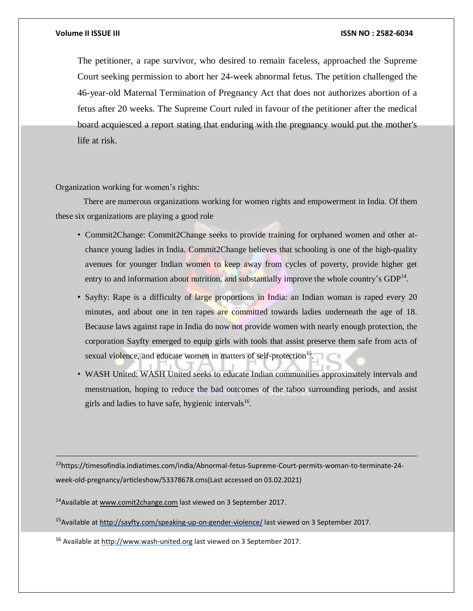$\overline{a}$ 

#### **Volume II ISSUE III ISSN NO : 2582-6034**

The petitioner, a rape survivor, who desired to remain faceless, approached the Supreme Court seeking permission to abort her 24-week abnormal fetus. The petition challenged the 46-year-old Maternal Termination of Pregnancy Act that does not authorizes abortion of a fetus after 20 weeks. The Supreme Court ruled in favour of the petitioner after the medical board acquiesced a report stating that enduring with the pregnancy would put the mother's life at risk.

Organization working for women's rights:

There are numerous organizations working for women rights and empowerment in India. Of them these six organizations are playing a good role

- Commit2Change: Commit2Change seeks to provide training for orphaned women and other atchance young ladies in India. Commit2Change believes that schooling is one of the high-quality avenues for younger Indian women to keep away from cycles of poverty, provide higher get entry to and information about nutrition, and substantially improve the whole country's GDP<sup>14</sup>.
- Sayfty: Rape is a difficulty of large proportions in India: an Indian woman is raped every 20 minutes, and about one in ten rapes are committed towards ladies underneath the age of 18. Because laws against rape in India do now not provide women with nearly enough protection, the corporation Sayfty emerged to equip girls with tools that assist preserve them safe from acts of sexual violence, and educate women in matters of self-protection<sup>15</sup>.
- WASH United: WASH United seeks to educate Indian communities approximately intervals and menstruation, hoping to reduce the bad outcomes of the taboo surrounding periods, and assist girls and ladies to have safe, hygienic intervals<sup>16</sup>.

*<sup>13</sup>*https://timesofindia.indiatimes.com/india/Abnormal-fetus-Supreme-Court-permits-woman-to-terminate-24 week-old-pregnancy/articleshow/53378678.cms(Last accessed on 03.02.2021)

<sup>14</sup>Available a[t www.comit2change.com](http://www.comit2change.com/) last viewed on 3 September 2017.

<sup>15</sup> Available a[t http://sayfty.com/speaking-up-on-gender-violence/](http://sayfty.com/speaking-up-on-gender-violence/) last viewed on 3 September 2017.

<sup>16</sup> Available a[t http://www.wash-united.org](http://www.wash-united.org/) last viewed on 3 September 2017.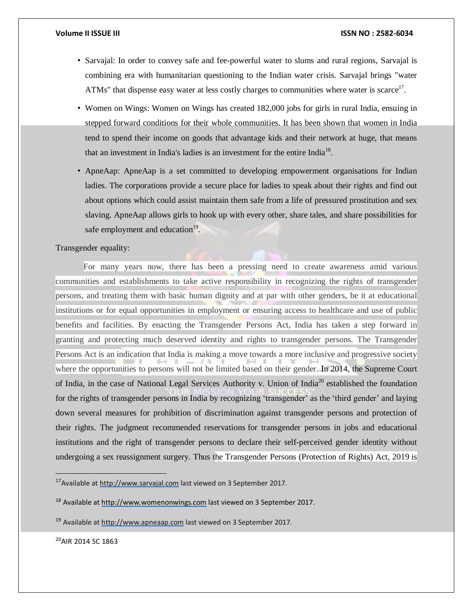- Sarvajal: In order to convey safe and fee-powerful water to slums and rural regions, Sarvajal is combining era with humanitarian questioning to the Indian water crisis. Sarvajal brings "water ATMs" that dispense easy water at less costly charges to communities where water is scarce<sup>17</sup>.
- Women on Wings: Women on Wings has created 182,000 jobs for girls in rural India, ensuing in stepped forward conditions for their whole communities. It has been shown that women in India tend to spend their income on goods that advantage kids and their network at huge, that means that an investment in India's ladies is an investment for the entire India<sup>18</sup>.
- ApneAap: ApneAap is a set committed to developing empowerment organisations for Indian ladies. The corporations provide a secure place for ladies to speak about their rights and find out about options which could assist maintain them safe from a life of pressured prostitution and sex slaving. ApneAap allows girls to hook up with every other, share tales, and share possibilities for safe employment and education<sup>19</sup>.

### Transgender equality:

For many years now, there has been a pressing need to create awareness amid various communities and establishments to take active responsibility in recognizing the rights of transgender persons, and treating them with basic human dignity and at par with other genders, be it at educational institutions or for equal opportunities in employment or ensuring access to healthcare and use of public benefits and facilities. By enacting the Transgender Persons Act, India has taken a step forward in granting and protecting much deserved identity and rights to transgender persons. The Transgender Persons Act is an indication that India is making a move towards a more inclusive and progressive society where the opportunities to persons will not be limited based on their gender. In 2014, the Supreme Court of India, in the case of National Legal Services Authority v. Union of India<sup>20</sup> established the foundation for the rights of transgender persons in India by recognizing 'transgender' as the 'third gender' and laying down several measures for prohibition of discrimination against transgender persons and protection of their rights. The judgment recommended reservations for transgender persons in jobs and educational institutions and the right of transgender persons to declare their self-perceived gender identity without undergoing a sex reassignment surgery. Thus the Transgender Persons (Protection of Rights) Act, 2019 is

<sup>20</sup>AIR 2014 SC 1863

 $\overline{a}$ 

<sup>17</sup>Available a[t http://www.sarvajal.com](http://www.sarvajal.com/) last viewed on 3 September 2017.

 $18$  Available a[t http://www.womenonwings.com](http://www.womenonwings.com/) last viewed on 3 September 2017.

<sup>&</sup>lt;sup>19</sup> Available a[t http://www.apneaap.com](http://www.apneaap.com/) last viewed on 3 September 2017.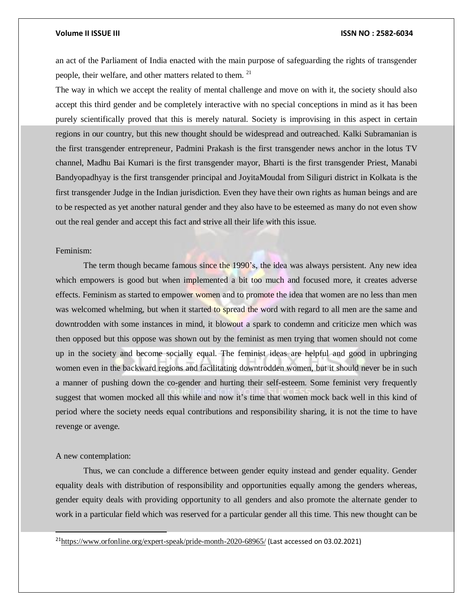an act of the Parliament of India enacted with the main purpose of safeguarding the rights of transgender people, their welfare, and other matters related to them. <sup>21</sup>

The way in which we accept the reality of mental challenge and move on with it, the society should also accept this third gender and be completely interactive with no special conceptions in mind as it has been purely scientifically proved that this is merely natural. Society is improvising in this aspect in certain regions in our country, but this new thought should be widespread and outreached. Kalki Subramanian is the first transgender entrepreneur, Padmini Prakash is the first transgender news anchor in the lotus TV channel, Madhu Bai Kumari is the first transgender mayor, Bharti is the first transgender Priest, Manabi Bandyopadhyay is the first transgender principal and JoyitaMoudal from Siliguri district in Kolkata is the first transgender Judge in the Indian jurisdiction. Even they have their own rights as human beings and are to be respected as yet another natural gender and they also have to be esteemed as many do not even show out the real gender and accept this fact and strive all their life with this issue.

### Feminism:

The term though became famous since the 1990's, the idea was always persistent. Any new idea which empowers is good but when implemented a bit too much and focused more, it creates adverse effects. Feminism as started to empower women and to promote the idea that women are no less than men was welcomed whelming, but when it started to spread the word with regard to all men are the same and downtrodden with some instances in mind, it blowout a spark to condemn and criticize men which was then opposed but this oppose was shown out by the feminist as men trying that women should not come up in the society and become socially equal. The feminist ideas are helpful and good in upbringing women even in the backward regions and facilitating downtrodden women, but it should never be in such a manner of pushing down the co-gender and hurting their self-esteem. Some feminist very frequently suggest that women mocked all this while and now it's time that women mock back well in this kind of period where the society needs equal contributions and responsibility sharing, it is not the time to have revenge or avenge.

#### A new contemplation:

 $\overline{\phantom{a}}$ 

Thus, we can conclude a difference between gender equity instead and gender equality. Gender equality deals with distribution of responsibility and opportunities equally among the genders whereas, gender equity deals with providing opportunity to all genders and also promote the alternate gender to work in a particular field which was reserved for a particular gender all this time. This new thought can be

<sup>21</sup><https://www.orfonline.org/expert-speak/pride-month-2020-68965/> (Last accessed on 03.02.2021)